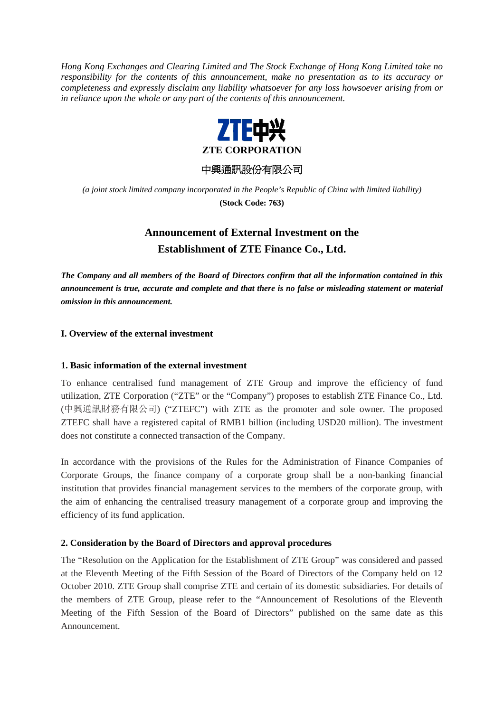*Hong Kong Exchanges and Clearing Limited and The Stock Exchange of Hong Kong Limited take no responsibility for the contents of this announcement, make no presentation as to its accuracy or completeness and expressly disclaim any liability whatsoever for any loss howsoever arising from or in reliance upon the whole or any part of the contents of this announcement.* 



中興通訊股份有限公司

*(a joint stock limited company incorporated in the People's Republic of China with limited liability)*  **(Stock Code: 763)** 

# **Announcement of External Investment on the Establishment of ZTE Finance Co., Ltd.**

*The Company and all members of the Board of Directors confirm that all the information contained in this announcement is true, accurate and complete and that there is no false or misleading statement or material omission in this announcement.* 

# **I. Overview of the external investment**

## **1. Basic information of the external investment**

To enhance centralised fund management of ZTE Group and improve the efficiency of fund utilization, ZTE Corporation ("ZTE" or the "Company") proposes to establish ZTE Finance Co., Ltd. (中興通訊財務有限公司) ("ZTEFC") with ZTE as the promoter and sole owner. The proposed ZTEFC shall have a registered capital of RMB1 billion (including USD20 million). The investment does not constitute a connected transaction of the Company.

In accordance with the provisions of the Rules for the Administration of Finance Companies of Corporate Groups, the finance company of a corporate group shall be a non-banking financial institution that provides financial management services to the members of the corporate group, with the aim of enhancing the centralised treasury management of a corporate group and improving the efficiency of its fund application.

## **2. Consideration by the Board of Directors and approval procedures**

The "Resolution on the Application for the Establishment of ZTE Group" was considered and passed at the Eleventh Meeting of the Fifth Session of the Board of Directors of the Company held on 12 October 2010. ZTE Group shall comprise ZTE and certain of its domestic subsidiaries. For details of the members of ZTE Group, please refer to the "Announcement of Resolutions of the Eleventh Meeting of the Fifth Session of the Board of Directors" published on the same date as this Announcement.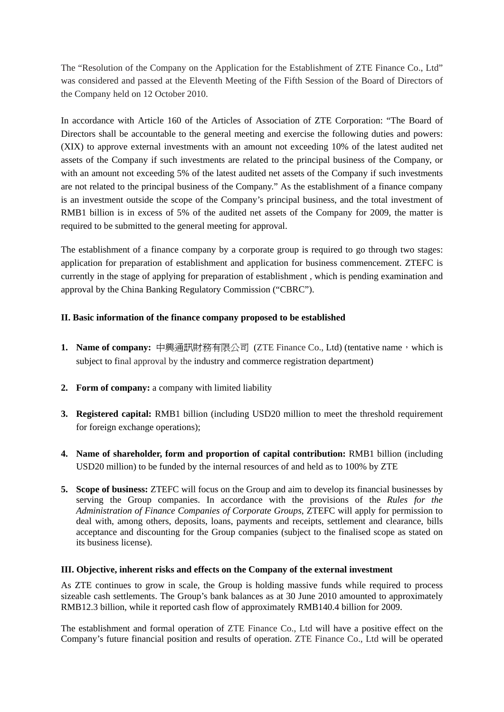The "Resolution of the Company on the Application for the Establishment of ZTE Finance Co., Ltd" was considered and passed at the Eleventh Meeting of the Fifth Session of the Board of Directors of the Company held on 12 October 2010.

In accordance with Article 160 of the Articles of Association of ZTE Corporation: "The Board of Directors shall be accountable to the general meeting and exercise the following duties and powers: (XIX) to approve external investments with an amount not exceeding 10% of the latest audited net assets of the Company if such investments are related to the principal business of the Company, or with an amount not exceeding 5% of the latest audited net assets of the Company if such investments are not related to the principal business of the Company." As the establishment of a finance company is an investment outside the scope of the Company's principal business, and the total investment of RMB1 billion is in excess of 5% of the audited net assets of the Company for 2009, the matter is required to be submitted to the general meeting for approval.

The establishment of a finance company by a corporate group is required to go through two stages: application for preparation of establishment and application for business commencement. ZTEFC is currently in the stage of applying for preparation of establishment , which is pending examination and approval by the China Banking Regulatory Commission ("CBRC").

# **II. Basic information of the finance company proposed to be established**

- 1. Name of company: 中興通訊財務有限公司 (ZTE Finance Co., Ltd) (tentative name, which is subject to final approval by the industry and commerce registration department)
- **2. Form of company:** a company with limited liability
- **3. Registered capital:** RMB1 billion (including USD20 million to meet the threshold requirement for foreign exchange operations);
- **4. Name of shareholder, form and proportion of capital contribution:** RMB1 billion (including USD20 million) to be funded by the internal resources of and held as to 100% by ZTE
- **5. Scope of business:** ZTEFC will focus on the Group and aim to develop its financial businesses by serving the Group companies. In accordance with the provisions of the *Rules for the Administration of Finance Companies of Corporate Groups*, ZTEFC will apply for permission to deal with, among others, deposits, loans, payments and receipts, settlement and clearance, bills acceptance and discounting for the Group companies (subject to the finalised scope as stated on its business license).

## **III. Objective, inherent risks and effects on the Company of the external investment**

As ZTE continues to grow in scale, the Group is holding massive funds while required to process sizeable cash settlements. The Group's bank balances as at 30 June 2010 amounted to approximately RMB12.3 billion, while it reported cash flow of approximately RMB140.4 billion for 2009.

The establishment and formal operation of ZTE Finance Co., Ltd will have a positive effect on the Company's future financial position and results of operation. ZTE Finance Co., Ltd will be operated